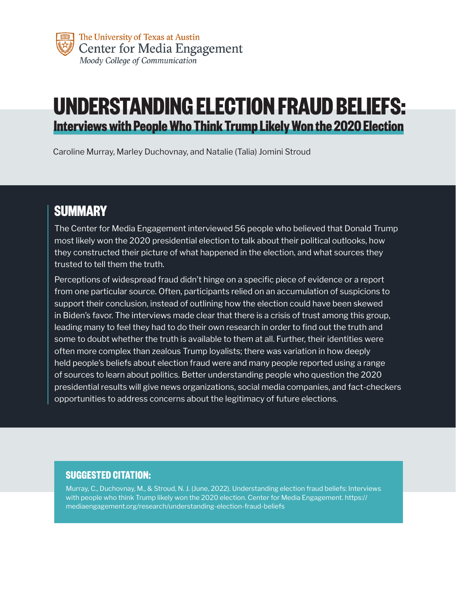# **UNDERSTANDING ELECTION FRAUD BELIEFS: Interviews with People Who Think Trump Likely Won the 2020 Election**

Caroline Murray, Marley Duchovnay, and Natalie (Talia) Jomini Stroud

## **SUMMARY**

The Center for Media Engagement interviewed 56 people who believed that Donald Trump most likely won the 2020 presidential election to talk about their political outlooks, how they constructed their picture of what happened in the election, and what sources they trusted to tell them the truth.

Perceptions of widespread fraud didn't hinge on a specific piece of evidence or a report from one particular source. Often, participants relied on an accumulation of suspicions to support their conclusion, instead of outlining how the election could have been skewed in Biden's favor. The interviews made clear that there is a crisis of trust among this group, leading many to feel they had to do their own research in order to find out the truth and some to doubt whether the truth is available to them at all. Further, their identities were often more complex than zealous Trump loyalists; there was variation in how deeply held people's beliefs about election fraud were and many people reported using a range of sources to learn about politics. Better understanding people who question the 2020 presidential results will give news organizations, social media companies, and fact-checkers opportunities to address concerns about the legitimacy of future elections.

#### **SUGGESTED CITATION:**

Murray, C., Duchovnay, M., & Stroud, N. J. (June, 2022). Understanding election fraud beliefs: Interviews with people who think Trump likely won the 2020 election. Center for Media Engagement. https:// mediaengagement.org/research/understanding-election-fraud-beliefs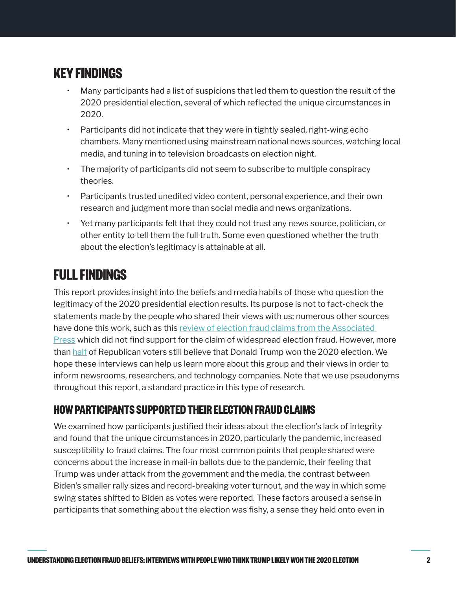# **KEY FINDINGS**

- Many participants had a list of suspicions that led them to question the result of the 2020 presidential election, several of which reflected the unique circumstances in 2020.
- Participants did not indicate that they were in tightly sealed, right-wing echo chambers. Many mentioned using mainstream national news sources, watching local media, and tuning in to television broadcasts on election night.
- The majority of participants did not seem to subscribe to multiple conspiracy theories.
- Participants trusted unedited video content, personal experience, and their own research and judgment more than social media and news organizations.
- Yet many participants felt that they could not trust any news source, politician, or other entity to tell them the full truth. Some even questioned whether the truth about the election's legitimacy is attainable at all.

### **FULL FINDINGS**

This report provides insight into the beliefs and media habits of those who question the legitimacy of the 2020 presidential election results. Its purpose is not to fact-check the statements made by the people who shared their views with us; numerous other sources have done this work, such as this review of election fraud claims from the Associated [Press](https://apnews.com/article/voter-fraud-election-2020-joe-biden-donald-trump-7fcb6f134e528fee8237c7601db3328f) which did not find support for the claim of widespread election fraud. However, more than [half](https://apnews.com/article/joe-biden-donald-trump-capitol-siege-coronavirus-pandemic-elections-79599e3eef68732134c94375a26897f7) of Republican voters still believe that Donald Trump won the 2020 election. We hope these interviews can help us learn more about this group and their views in order to inform newsrooms, researchers, and technology companies. Note that we use pseudonyms throughout this report, a standard practice in this type of research.

### **HOW PARTICIPANTS SUPPORTED THEIR ELECTION FRAUD CLAIMS**

We examined how participants justified their ideas about the election's lack of integrity and found that the unique circumstances in 2020, particularly the pandemic, increased susceptibility to fraud claims. The four most common points that people shared were concerns about the increase in mail-in ballots due to the pandemic, their feeling that Trump was under attack from the government and the media, the contrast between Biden's smaller rally sizes and record-breaking voter turnout, and the way in which some swing states shifted to Biden as votes were reported. These factors aroused a sense in participants that something about the election was fishy, a sense they held onto even in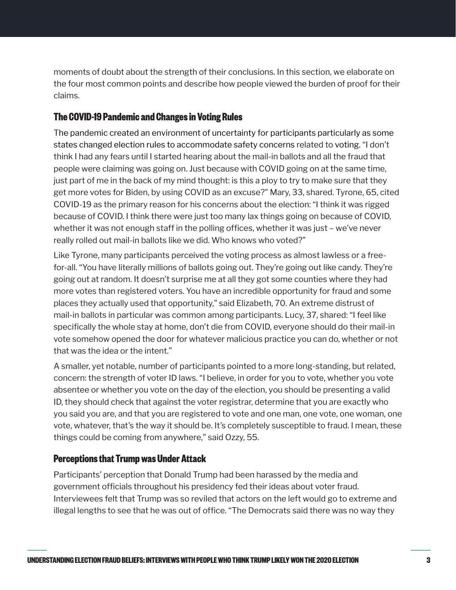moments of doubt about the strength of their conclusions. In this section, we elaborate on the four most common points and describe how people viewed the burden of proof for their claims.

#### **The COVID-19 Pandemic and Changes in Voting Rules**

The pandemic created an environment of uncertainty for participants particularly as some states changed election rules to accommodate safety concerns related to voting. "I don't think I had any fears until I started hearing about the mail-in ballots and all the fraud that people were claiming was going on. Just because with COVID going on at the same time, just part of me in the back of my mind thought: is this a ploy to try to make sure that they get more votes for Biden, by using COVID as an excuse?" Mary, 33, shared. Tyrone, 65, cited COVID-19 as the primary reason for his concerns about the election: "I think it was rigged because of COVID. I think there were just too many lax things going on because of COVID, whether it was not enough staff in the polling offices, whether it was just – we've never really rolled out mail-in ballots like we did. Who knows who voted?"

Like Tyrone, many participants perceived the voting process as almost lawless or a freefor-all. "You have literally millions of ballots going out. They're going out like candy. They're going out at random. It doesn't surprise me at all they got some counties where they had more votes than registered voters. You have an incredible opportunity for fraud and some places they actually used that opportunity," said Elizabeth, 70. An extreme distrust of mail-in ballots in particular was common among participants. Lucy, 37, shared: "I feel like specifically the whole stay at home, don't die from COVID, everyone should do their mail-in vote somehow opened the door for whatever malicious practice you can do, whether or not that was the idea or the intent."

A smaller, yet notable, number of participants pointed to a more long-standing, but related, concern: the strength of voter ID laws. "I believe, in order for you to vote, whether you vote absentee or whether you vote on the day of the election, you should be presenting a valid ID, they should check that against the voter registrar, determine that you are exactly who you said you are, and that you are registered to vote and one man, one vote, one woman, one vote, whatever, that's the way it should be. It's completely susceptible to fraud. I mean, these things could be coming from anywhere," said Ozzy, 55.

#### **Perceptions that Trump was Under Attack**

Participants' perception that Donald Trump had been harassed by the media and government officials throughout his presidency fed their ideas about voter fraud. Interviewees felt that Trump was so reviled that actors on the left would go to extreme and illegal lengths to see that he was out of office. "The Democrats said there was no way they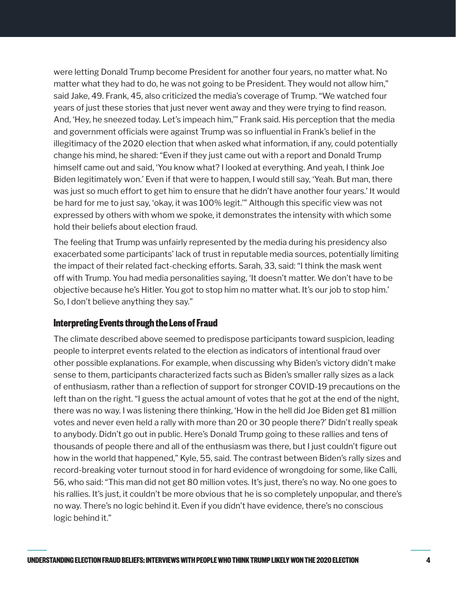were letting Donald Trump become President for another four years, no matter what. No matter what they had to do, he was not going to be President. They would not allow him," said Jake, 49. Frank, 45, also criticized the media's coverage of Trump. "We watched four years of just these stories that just never went away and they were trying to find reason. And, 'Hey, he sneezed today. Let's impeach him,'" Frank said. His perception that the media and government officials were against Trump was so influential in Frank's belief in the illegitimacy of the 2020 election that when asked what information, if any, could potentially change his mind, he shared: "Even if they just came out with a report and Donald Trump himself came out and said, 'You know what? I looked at everything. And yeah, I think Joe Biden legitimately won.' Even if that were to happen, I would still say, 'Yeah. But man, there was just so much effort to get him to ensure that he didn't have another four years.' It would be hard for me to just say, 'okay, it was 100% legit.'" Although this specific view was not expressed by others with whom we spoke, it demonstrates the intensity with which some hold their beliefs about election fraud.

The feeling that Trump was unfairly represented by the media during his presidency also exacerbated some participants' lack of trust in reputable media sources, potentially limiting the impact of their related fact-checking efforts. Sarah, 33, said: "I think the mask went off with Trump. You had media personalities saying, 'It doesn't matter. We don't have to be objective because he's Hitler. You got to stop him no matter what. It's our job to stop him.' So, I don't believe anything they say."

#### **Interpreting Events through the Lens of Fraud**

The climate described above seemed to predispose participants toward suspicion, leading people to interpret events related to the election as indicators of intentional fraud over other possible explanations. For example, when discussing why Biden's victory didn't make sense to them, participants characterized facts such as Biden's smaller rally sizes as a lack of enthusiasm, rather than a reflection of support for stronger COVID-19 precautions on the left than on the right. "I guess the actual amount of votes that he got at the end of the night, there was no way. I was listening there thinking, 'How in the hell did Joe Biden get 81 million votes and never even held a rally with more than 20 or 30 people there?' Didn't really speak to anybody. Didn't go out in public. Here's Donald Trump going to these rallies and tens of thousands of people there and all of the enthusiasm was there, but I just couldn't figure out how in the world that happened," Kyle, 55, said. The contrast between Biden's rally sizes and record-breaking voter turnout stood in for hard evidence of wrongdoing for some, like Calli, 56, who said: "This man did not get 80 million votes. It's just, there's no way. No one goes to his rallies. It's just, it couldn't be more obvious that he is so completely unpopular, and there's no way. There's no logic behind it. Even if you didn't have evidence, there's no conscious logic behind it."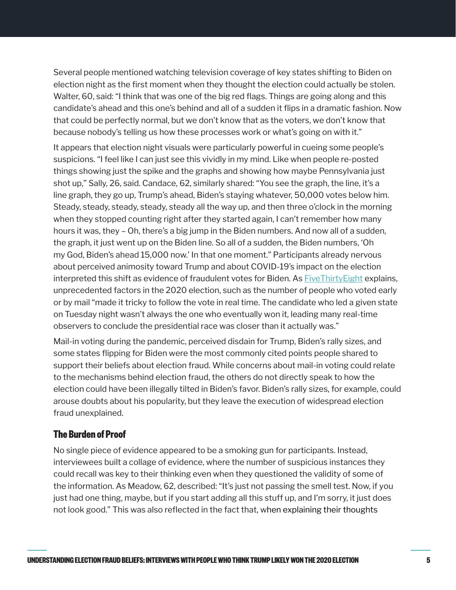Several people mentioned watching television coverage of key states shifting to Biden on election night as the first moment when they thought the election could actually be stolen. Walter, 60, said: "I think that was one of the big red flags. Things are going along and this candidate's ahead and this one's behind and all of a sudden it flips in a dramatic fashion. Now that could be perfectly normal, but we don't know that as the voters, we don't know that because nobody's telling us how these processes work or what's going on with it."

It appears that election night visuals were particularly powerful in cueing some people's suspicions. "I feel like I can just see this vividly in my mind. Like when people re-posted things showing just the spike and the graphs and showing how maybe Pennsylvania just shot up," Sally, 26, said. Candace, 62, similarly shared: "You see the graph, the line, it's a line graph, they go up, Trump's ahead, Biden's staying whatever, 50,000 votes below him. Steady, steady, steady, steady, steady all the way up, and then three o'clock in the morning when they stopped counting right after they started again, I can't remember how many hours it was, they – Oh, there's a big jump in the Biden numbers. And now all of a sudden, the graph, it just went up on the Biden line. So all of a sudden, the Biden numbers, 'Oh my God, Biden's ahead 15,000 now.' In that one moment." Participants already nervous about perceived animosity toward Trump and about COVID-19's impact on the election interpreted this shift as evidence of fraudulent votes for Biden. As **Five Thirty Eight explains**, unprecedented factors in the 2020 election, such as the number of people who voted early or by mail "made it tricky to follow the vote in real time. The candidate who led a given state on Tuesday night wasn't always the one who eventually won it, leading many real-time observers to conclude the presidential race was closer than it actually was."

Mail-in voting during the pandemic, perceived disdain for Trump, Biden's rally sizes, and some states flipping for Biden were the most commonly cited points people shared to support their beliefs about election fraud. While concerns about mail-in voting could relate to the mechanisms behind election fraud, the others do not directly speak to how the election could have been illegally tilted in Biden's favor. Biden's rally sizes, for example, could arouse doubts about his popularity, but they leave the execution of widespread election fraud unexplained.

#### **The Burden of Proof**

No single piece of evidence appeared to be a smoking gun for participants. Instead, interviewees built a collage of evidence, where the number of suspicious instances they could recall was key to their thinking even when they questioned the validity of some of the information. As Meadow, 62, described: "It's just not passing the smell test. Now, if you just had one thing, maybe, but if you start adding all this stuff up, and I'm sorry, it just does not look good." This was also reflected in the fact that, when explaining their thoughts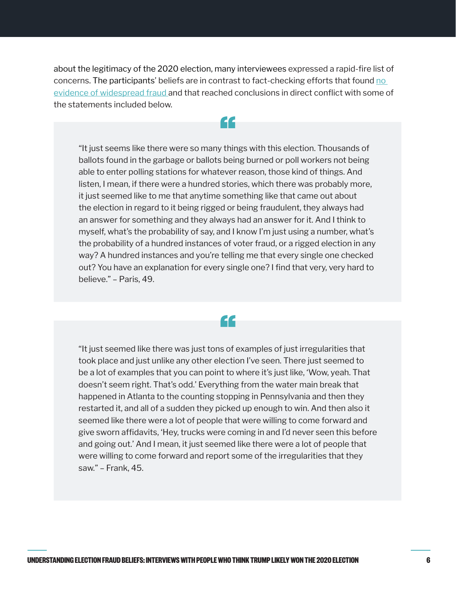about the legitimacy of the 2020 election, many interviewees expressed a rapid-fire list of concerns. The participants' beliefs are in contrast to fact-checking efforts that found no [evidence of widespread fraud](https://apnews.com/article/voter-fraud-election-2020-joe-biden-donald-trump-7fcb6f134e528fee8237c7601db3328f) and that reached conclusions in direct conflict with some of the statements included below.

44

"It just seems like there were so many things with this election. Thousands of ballots found in the garbage or ballots being burned or poll workers not being able to enter polling stations for whatever reason, those kind of things. And listen, I mean, if there were a hundred stories, which there was probably more, it just seemed like to me that anytime something like that came out about the election in regard to it being rigged or being fraudulent, they always had an answer for something and they always had an answer for it. And I think to myself, what's the probability of say, and I know I'm just using a number, what's the probability of a hundred instances of voter fraud, or a rigged election in any way? A hundred instances and you're telling me that every single one checked out? You have an explanation for every single one? I find that very, very hard to believe." – Paris, 49.

"

"It just seemed like there was just tons of examples of just irregularities that took place and just unlike any other election I've seen. There just seemed to be a lot of examples that you can point to where it's just like, 'Wow, yeah. That doesn't seem right. That's odd.' Everything from the water main break that happened in Atlanta to the counting stopping in Pennsylvania and then they restarted it, and all of a sudden they picked up enough to win. And then also it seemed like there were a lot of people that were willing to come forward and give sworn affidavits, 'Hey, trucks were coming in and I'd never seen this before and going out.' And I mean, it just seemed like there were a lot of people that were willing to come forward and report some of the irregularities that they saw." – Frank, 45.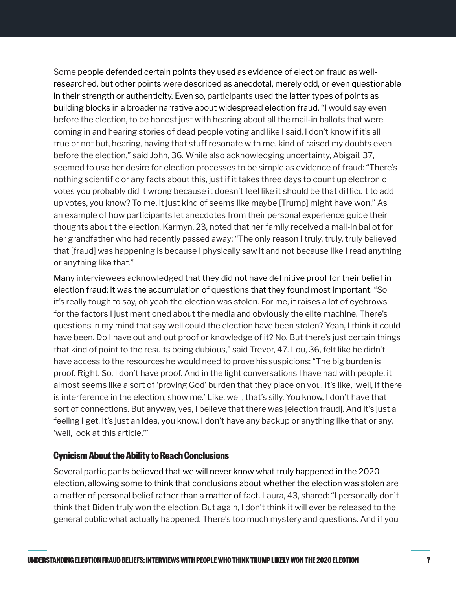Some people defended certain points they used as evidence of election fraud as wellresearched, but other points were described as anecdotal, merely odd, or even questionable in their strength or authenticity. Even so, participants used the latter types of points as building blocks in a broader narrative about widespread election fraud. "I would say even before the election, to be honest just with hearing about all the mail-in ballots that were coming in and hearing stories of dead people voting and like I said, I don't know if it's all true or not but, hearing, having that stuff resonate with me, kind of raised my doubts even before the election," said John, 36. While also acknowledging uncertainty, Abigail, 37, seemed to use her desire for election processes to be simple as evidence of fraud: "There's nothing scientific or any facts about this, just if it takes three days to count up electronic votes you probably did it wrong because it doesn't feel like it should be that difficult to add up votes, you know? To me, it just kind of seems like maybe [Trump] might have won." As an example of how participants let anecdotes from their personal experience guide their thoughts about the election, Karmyn, 23, noted that her family received a mail-in ballot for her grandfather who had recently passed away: "The only reason I truly, truly, truly believed that [fraud] was happening is because I physically saw it and not because like I read anything or anything like that."

Many interviewees acknowledged that they did not have definitive proof for their belief in election fraud; it was the accumulation of questions that they found most important. "So it's really tough to say, oh yeah the election was stolen. For me, it raises a lot of eyebrows for the factors I just mentioned about the media and obviously the elite machine. There's questions in my mind that say well could the election have been stolen? Yeah, I think it could have been. Do I have out and out proof or knowledge of it? No. But there's just certain things that kind of point to the results being dubious," said Trevor, 47. Lou, 36, felt like he didn't have access to the resources he would need to prove his suspicions: "The big burden is proof. Right. So, I don't have proof. And in the light conversations I have had with people, it almost seems like a sort of 'proving God' burden that they place on you. It's like, 'well, if there is interference in the election, show me.' Like, well, that's silly. You know, I don't have that sort of connections. But anyway, yes, I believe that there was [election fraud]. And it's just a feeling I get. It's just an idea, you know. I don't have any backup or anything like that or any, 'well, look at this article.'"

#### **Cynicism About the Ability to Reach Conclusions**

Several participants believed that we will never know what truly happened in the 2020 election, allowing some to think that conclusions about whether the election was stolen are a matter of personal belief rather than a matter of fact. Laura, 43, shared: "I personally don't think that Biden truly won the election. But again, I don't think it will ever be released to the general public what actually happened. There's too much mystery and questions. And if you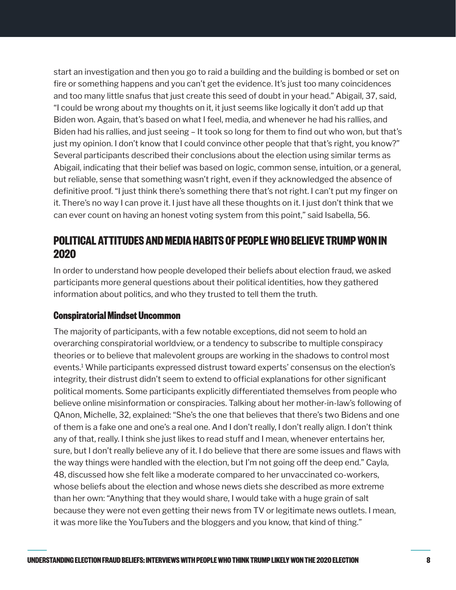<span id="page-7-0"></span>start an investigation and then you go to raid a building and the building is bombed or set on fire or something happens and you can't get the evidence. It's just too many coincidences and too many little snafus that just create this seed of doubt in your head." Abigail, 37, said, "I could be wrong about my thoughts on it, it just seems like logically it don't add up that Biden won. Again, that's based on what I feel, media, and whenever he had his rallies, and Biden had his rallies, and just seeing – It took so long for them to find out who won, but that's just my opinion. I don't know that I could convince other people that that's right, you know?" Several participants described their conclusions about the election using similar terms as Abigail, indicating that their belief was based on logic, common sense, intuition, or a general, but reliable, sense that something wasn't right, even if they acknowledged the absence of definitive proof. "I just think there's something there that's not right. I can't put my finger on it. There's no way I can prove it. I just have all these thoughts on it. I just don't think that we can ever count on having an honest voting system from this point," said Isabella, 56.

### **POLITICAL ATTITUDES AND MEDIA HABITS OF PEOPLE WHO BELIEVE TRUMP WON IN 2020**

In order to understand how people developed their beliefs about election fraud, we asked participants more general questions about their political identities, how they gathered information about politics, and who they trusted to tell them the truth.

#### **Conspiratorial Mindset Uncommon**

The majority of participants, with a few notable exceptions, did not seem to hold an overarching conspiratorial worldview, or a tendency to subscribe to multiple conspiracy theories or to believe that malevolent groups are working in the shadows to control most events[.1](#page-13-0) While participants expressed distrust toward experts' consensus on the election's integrity, their distrust didn't seem to extend to official explanations for other significant political moments. Some participants explicitly differentiated themselves from people who believe online misinformation or conspiracies. Talking about her mother-in-law's following of QAnon, Michelle, 32, explained: "She's the one that believes that there's two Bidens and one of them is a fake one and one's a real one. And I don't really, I don't really align. I don't think any of that, really. I think she just likes to read stuff and I mean, whenever entertains her, sure, but I don't really believe any of it. I do believe that there are some issues and flaws with the way things were handled with the election, but I'm not going off the deep end." Cayla, 48, discussed how she felt like a moderate compared to her unvaccinated co-workers, whose beliefs about the election and whose news diets she described as more extreme than her own: "Anything that they would share, I would take with a huge grain of salt because they were not even getting their news from TV or legitimate news outlets. I mean, it was more like the YouTubers and the bloggers and you know, that kind of thing."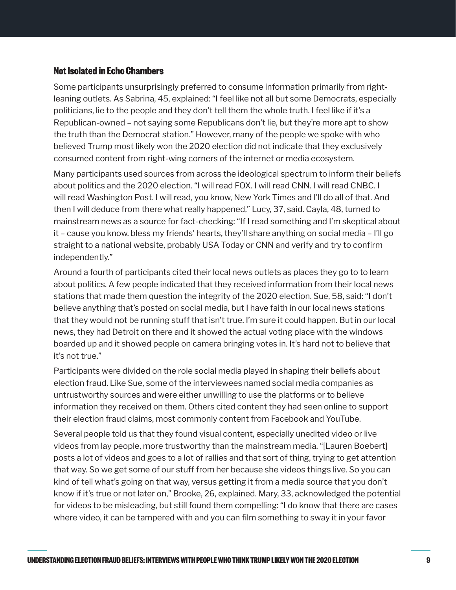#### **Not Isolated in Echo Chambers**

Some participants unsurprisingly preferred to consume information primarily from rightleaning outlets. As Sabrina, 45, explained: "I feel like not all but some Democrats, especially politicians, lie to the people and they don't tell them the whole truth. I feel like if it's a Republican-owned – not saying some Republicans don't lie, but they're more apt to show the truth than the Democrat station." However, many of the people we spoke with who believed Trump most likely won the 2020 election did not indicate that they exclusively consumed content from right-wing corners of the internet or media ecosystem.

Many participants used sources from across the ideological spectrum to inform their beliefs about politics and the 2020 election. "I will read FOX. I will read CNN. I will read CNBC. I will read Washington Post. I will read, you know, New York Times and I'll do all of that. And then I will deduce from there what really happened," Lucy, 37, said. Cayla, 48, turned to mainstream news as a source for fact-checking: "If I read something and I'm skeptical about it – cause you know, bless my friends' hearts, they'll share anything on social media – I'll go straight to a national website, probably USA Today or CNN and verify and try to confirm independently."

Around a fourth of participants cited their local news outlets as places they go to to learn about politics. A few people indicated that they received information from their local news stations that made them question the integrity of the 2020 election. Sue, 58, said: "I don't believe anything that's posted on social media, but I have faith in our local news stations that they would not be running stuff that isn't true. I'm sure it could happen. But in our local news, they had Detroit on there and it showed the actual voting place with the windows boarded up and it showed people on camera bringing votes in. It's hard not to believe that it's not true."

Participants were divided on the role social media played in shaping their beliefs about election fraud. Like Sue, some of the interviewees named social media companies as untrustworthy sources and were either unwilling to use the platforms or to believe information they received on them. Others cited content they had seen online to support their election fraud claims, most commonly content from Facebook and YouTube.

Several people told us that they found visual content, especially unedited video or live videos from lay people, more trustworthy than the mainstream media. "[Lauren Boebert] posts a lot of videos and goes to a lot of rallies and that sort of thing, trying to get attention that way. So we get some of our stuff from her because she videos things live. So you can kind of tell what's going on that way, versus getting it from a media source that you don't know if it's true or not later on," Brooke, 26, explained. Mary, 33, acknowledged the potential for videos to be misleading, but still found them compelling: "I do know that there are cases where video, it can be tampered with and you can film something to sway it in your favor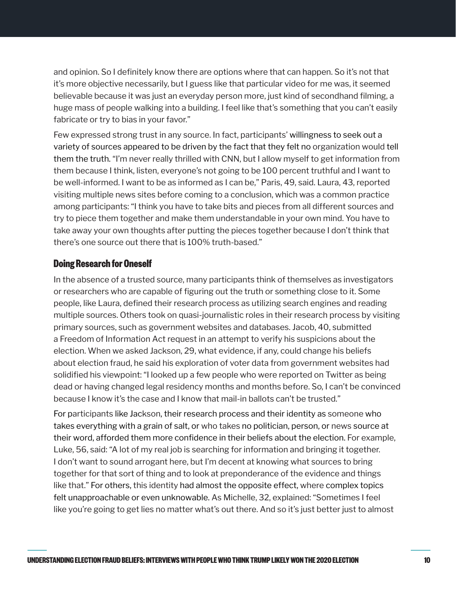and opinion. So I definitely know there are options where that can happen. So it's not that it's more objective necessarily, but I guess like that particular video for me was, it seemed believable because it was just an everyday person more, just kind of secondhand filming, a huge mass of people walking into a building. I feel like that's something that you can't easily fabricate or try to bias in your favor."

Few expressed strong trust in any source. In fact, participants' willingness to seek out a variety of sources appeared to be driven by the fact that they felt no organization would tell them the truth. "I'm never really thrilled with CNN, but I allow myself to get information from them because I think, listen, everyone's not going to be 100 percent truthful and I want to be well-informed. I want to be as informed as I can be," Paris, 49, said. Laura, 43, reported visiting multiple news sites before coming to a conclusion, which was a common practice among participants: "I think you have to take bits and pieces from all different sources and try to piece them together and make them understandable in your own mind. You have to take away your own thoughts after putting the pieces together because I don't think that there's one source out there that is 100% truth-based."

#### **Doing Research for Oneself**

In the absence of a trusted source, many participants think of themselves as investigators or researchers who are capable of figuring out the truth or something close to it. Some people, like Laura, defined their research process as utilizing search engines and reading multiple sources. Others took on quasi-journalistic roles in their research process by visiting primary sources, such as government websites and databases. Jacob, 40, submitted a Freedom of Information Act request in an attempt to verify his suspicions about the election. When we asked Jackson, 29, what evidence, if any, could change his beliefs about election fraud, he said his exploration of voter data from government websites had solidified his viewpoint: "I looked up a few people who were reported on Twitter as being dead or having changed legal residency months and months before. So, I can't be convinced because I know it's the case and I know that mail-in ballots can't be trusted."

For participants like Jackson, their research process and their identity as someone who takes everything with a grain of salt, or who takes no politician, person, or news source at their word, afforded them more confidence in their beliefs about the election. For example, Luke, 56, said: "A lot of my real job is searching for information and bringing it together. I don't want to sound arrogant here, but I'm decent at knowing what sources to bring together for that sort of thing and to look at preponderance of the evidence and things like that." For others, this identity had almost the opposite effect, where complex topics felt unapproachable or even unknowable. As Michelle, 32, explained: "Sometimes I feel like you're going to get lies no matter what's out there. And so it's just better just to almost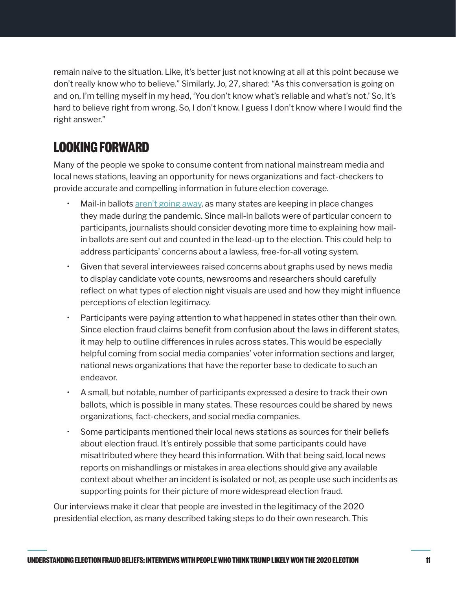remain naive to the situation. Like, it's better just not knowing at all at this point because we don't really know who to believe." Similarly, Jo, 27, shared: "As this conversation is going on and on, I'm telling myself in my head, 'You don't know what's reliable and what's not.' So, it's hard to believe right from wrong. So, I don't know. I guess I don't know where I would find the right answer."

# **LOOKING FORWARD**

Many of the people we spoke to consume content from national mainstream media and local news stations, leaving an opportunity for news organizations and fact-checkers to provide accurate and compelling information in future election coverage.

- Mail-in ballots [aren't going away,](https://www.politico.com/news/2021/06/22/pandemic-voting-changes-495411) as many states are keeping in place changes they made during the pandemic. Since mail-in ballots were of particular concern to participants, journalists should consider devoting more time to explaining how mailin ballots are sent out and counted in the lead-up to the election. This could help to address participants' concerns about a lawless, free-for-all voting system.
- Given that several interviewees raised concerns about graphs used by news media to display candidate vote counts, newsrooms and researchers should carefully reflect on what types of election night visuals are used and how they might influence perceptions of election legitimacy.
- Participants were paying attention to what happened in states other than their own. Since election fraud claims benefit from confusion about the laws in different states, it may help to outline differences in rules across states. This would be especially helpful coming from social media companies' voter information sections and larger, national news organizations that have the reporter base to dedicate to such an endeavor.
- A small, but notable, number of participants expressed a desire to track their own ballots, which is possible in many states. These resources could be shared by news organizations, fact-checkers, and social media companies.
- Some participants mentioned their local news stations as sources for their beliefs about election fraud. It's entirely possible that some participants could have misattributed where they heard this information. With that being said, local news reports on mishandlings or mistakes in area elections should give any available context about whether an incident is isolated or not, as people use such incidents as supporting points for their picture of more widespread election fraud.

Our interviews make it clear that people are invested in the legitimacy of the 2020 presidential election, as many described taking steps to do their own research. This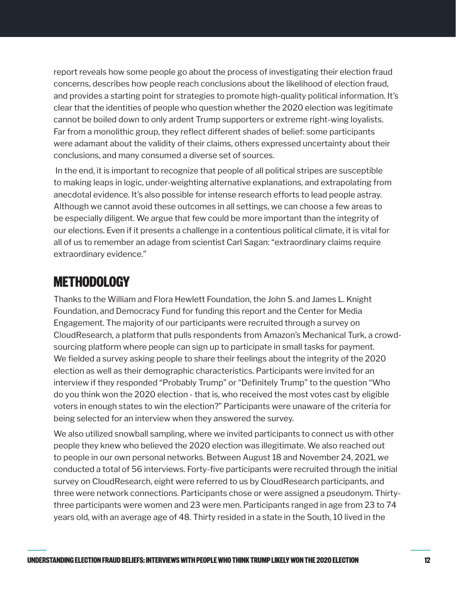report reveals how some people go about the process of investigating their election fraud concerns, describes how people reach conclusions about the likelihood of election fraud, and provides a starting point for strategies to promote high-quality political information. It's clear that the identities of people who question whether the 2020 election was legitimate cannot be boiled down to only ardent Trump supporters or extreme right-wing loyalists. Far from a monolithic group, they reflect different shades of belief: some participants were adamant about the validity of their claims, others expressed uncertainty about their conclusions, and many consumed a diverse set of sources.

 In the end, it is important to recognize that people of all political stripes are susceptible to making leaps in logic, under-weighting alternative explanations, and extrapolating from anecdotal evidence. It's also possible for intense research efforts to lead people astray. Although we cannot avoid these outcomes in all settings, we can choose a few areas to be especially diligent. We argue that few could be more important than the integrity of our elections. Even if it presents a challenge in a contentious political climate, it is vital for all of us to remember an adage from scientist Carl Sagan: "extraordinary claims require extraordinary evidence."

### **METHODOLOGY**

Thanks to the William and Flora Hewlett Foundation, the John S. and James L. Knight Foundation, and Democracy Fund for funding this report and the Center for Media Engagement. The majority of our participants were recruited through a survey on CloudResearch, a platform that pulls respondents from Amazon's Mechanical Turk, a crowdsourcing platform where people can sign up to participate in small tasks for payment. We fielded a survey asking people to share their feelings about the integrity of the 2020 election as well as their demographic characteristics. Participants were invited for an interview if they responded "Probably Trump" or "Definitely Trump" to the question "Who do you think won the 2020 election - that is, who received the most votes cast by eligible voters in enough states to win the election?" Participants were unaware of the criteria for being selected for an interview when they answered the survey.

We also utilized snowball sampling, where we invited participants to connect us with other people they knew who believed the 2020 election was illegitimate. We also reached out to people in our own personal networks. Between August 18 and November 24, 2021, we conducted a total of 56 interviews. Forty-five participants were recruited through the initial survey on CloudResearch, eight were referred to us by CloudResearch participants, and three were network connections. Participants chose or were assigned a pseudonym. Thirtythree participants were women and 23 were men. Participants ranged in age from 23 to 74 years old, with an average age of 48. Thirty resided in a state in the South, 10 lived in the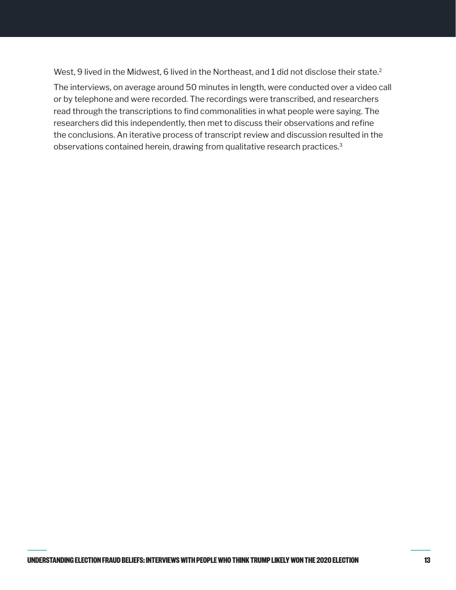<span id="page-12-0"></span>West, 9 lived in the Midwest, 6 lived in the Northeast, and 1 did not disclose their state[.2](#page-13-0)

The interviews, on average around 50 minutes in length, were conducted over a video call or by telephone and were recorded. The recordings were transcribed, and researchers read through the transcriptions to find commonalities in what people were saying. The researchers did this independently, then met to discuss their observations and refine the conclusions. An iterative process of transcript review and discussion resulted in the observations contained herein, drawing from qualitative research practices.[3](#page-13-0)